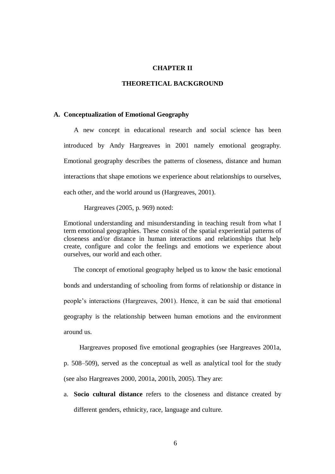## **CHAPTER II**

## **THEORETICAL BACKGROUND**

## **A. Conceptualization of Emotional Geography**

A new concept in educational research and social science has been introduced by Andy Hargreaves in 2001 namely emotional geography. Emotional geography describes the patterns of closeness, distance and human interactions that shape emotions we experience about relationships to ourselves, each other, and the world around us (Hargreaves, 2001).

Hargreaves (2005, p. 969) noted:

Emotional understanding and misunderstanding in teaching result from what I term emotional geographies. These consist of the spatial experiential patterns of closeness and/or distance in human interactions and relationships that help create, configure and color the feelings and emotions we experience about ourselves, our world and each other.

The concept of emotional geography helped us to know the basic emotional bonds and understanding of schooling from forms of relationship or distance in people's interactions (Hargreaves, 2001). Hence, it can be said that emotional geography is the relationship between human emotions and the environment around us.

Hargreaves proposed five emotional geographies (see Hargreaves 2001a, p. 508–509), served as the conceptual as well as analytical tool for the study (see also Hargreaves 2000, 2001a, 2001b, 2005). They are:

a. **Socio cultural distance** refers to the closeness and distance created by different genders, ethnicity, race, language and culture.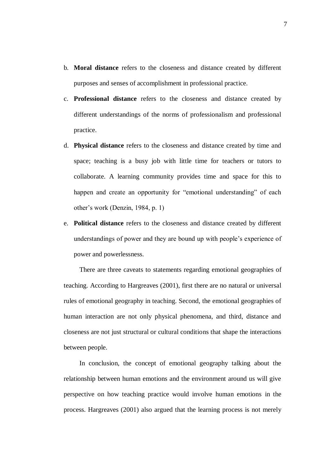- b. **Moral distance** refers to the closeness and distance created by different purposes and senses of accomplishment in professional practice.
- c. **Professional distance** refers to the closeness and distance created by different understandings of the norms of professionalism and professional practice.
- d. **Physical distance** refers to the closeness and distance created by time and space; teaching is a busy job with little time for teachers or tutors to collaborate. A learning community provides time and space for this to happen and create an opportunity for "emotional understanding" of each other's work (Denzin, 1984, p. 1)
- e. **Political distance** refers to the closeness and distance created by different understandings of power and they are bound up with people's experience of power and powerlessness.

There are three caveats to statements regarding emotional geographies of teaching. According to Hargreaves (2001), first there are no natural or universal rules of emotional geography in teaching. Second, the emotional geographies of human interaction are not only physical phenomena, and third, distance and closeness are not just structural or cultural conditions that shape the interactions between people.

In conclusion, the concept of emotional geography talking about the relationship between human emotions and the environment around us will give perspective on how teaching practice would involve human emotions in the process. Hargreaves (2001) also argued that the learning process is not merely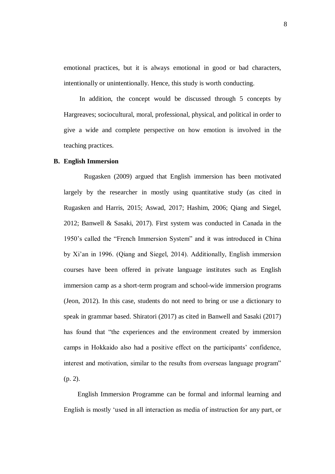emotional practices, but it is always emotional in good or bad characters, intentionally or unintentionally. Hence, this study is worth conducting.

In addition, the concept would be discussed through 5 concepts by Hargreaves; sociocultural, moral, professional, physical, and political in order to give a wide and complete perspective on how emotion is involved in the teaching practices.

## **B. English Immersion**

Rugasken (2009) argued that English immersion has been motivated largely by the researcher in mostly using quantitative study (as cited in Rugasken and Harris, 2015; Aswad, 2017; Hashim, 2006; Qiang and Siegel, 2012; Banwell & Sasaki, 2017). First system was conducted in Canada in the 1950's called the "French Immersion System" and it was introduced in China by Xi'an in 1996. (Qiang and Siegel, 2014). Additionally, English immersion courses have been offered in private language institutes such as English immersion camp as a short-term program and school-wide immersion programs (Jeon, 2012). In this case, students do not need to bring or use a dictionary to speak in grammar based. Shiratori (2017) as cited in Banwell and Sasaki (2017) has found that "the experiences and the environment created by immersion camps in Hokkaido also had a positive effect on the participants' confidence, interest and motivation, similar to the results from overseas language program" (p. 2).

English Immersion Programme can be formal and informal learning and English is mostly 'used in all interaction as media of instruction for any part, or